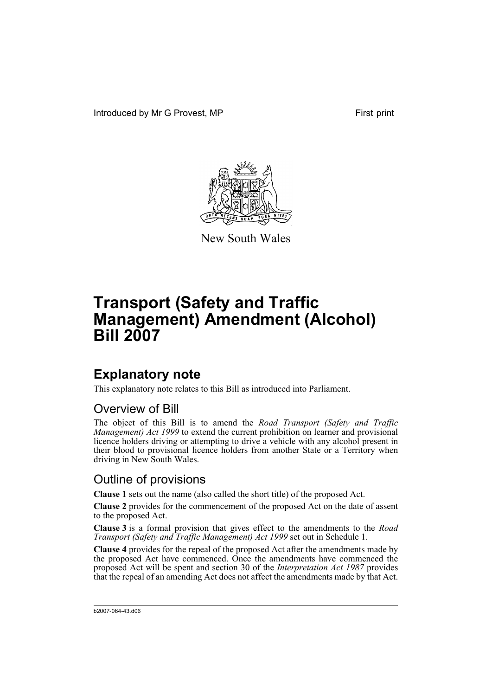Introduced by Mr G Provest, MP First print



New South Wales

# **Transport (Safety and Traffic Management) Amendment (Alcohol) Bill 2007**

## **Explanatory note**

This explanatory note relates to this Bill as introduced into Parliament.

### Overview of Bill

The object of this Bill is to amend the *Road Transport (Safety and Traffic Management) Act 1999* to extend the current prohibition on learner and provisional licence holders driving or attempting to drive a vehicle with any alcohol present in their blood to provisional licence holders from another State or a Territory when driving in New South Wales.

### Outline of provisions

**Clause 1** sets out the name (also called the short title) of the proposed Act.

**Clause 2** provides for the commencement of the proposed Act on the date of assent to the proposed Act.

**Clause 3** is a formal provision that gives effect to the amendments to the *Road Transport (Safety and Traffic Management) Act 1999* set out in Schedule 1.

**Clause 4** provides for the repeal of the proposed Act after the amendments made by the proposed Act have commenced. Once the amendments have commenced the proposed Act will be spent and section 30 of the *Interpretation Act 1987* provides that the repeal of an amending Act does not affect the amendments made by that Act.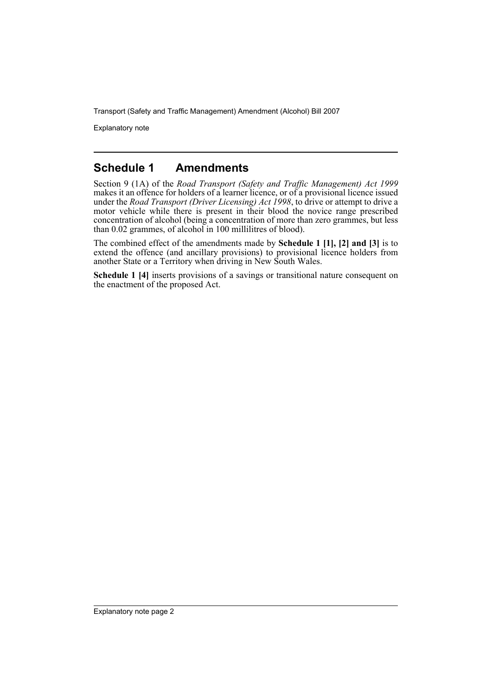Transport (Safety and Traffic Management) Amendment (Alcohol) Bill 2007

Explanatory note

#### **Schedule 1 Amendments**

Section 9 (1A) of the *Road Transport (Safety and Traffic Management) Act 1999* makes it an offence for holders of a learner licence, or of a provisional licence issued under the *Road Transport (Driver Licensing) Act 1998*, to drive or attempt to drive a motor vehicle while there is present in their blood the novice range prescribed concentration of alcohol (being a concentration of more than zero grammes, but less than 0.02 grammes, of alcohol in 100 millilitres of blood).

The combined effect of the amendments made by **Schedule 1 [1], [2] and [3]** is to extend the offence (and ancillary provisions) to provisional licence holders from another State or a Territory when driving in New South Wales.

**Schedule 1 [4]** inserts provisions of a savings or transitional nature consequent on the enactment of the proposed Act.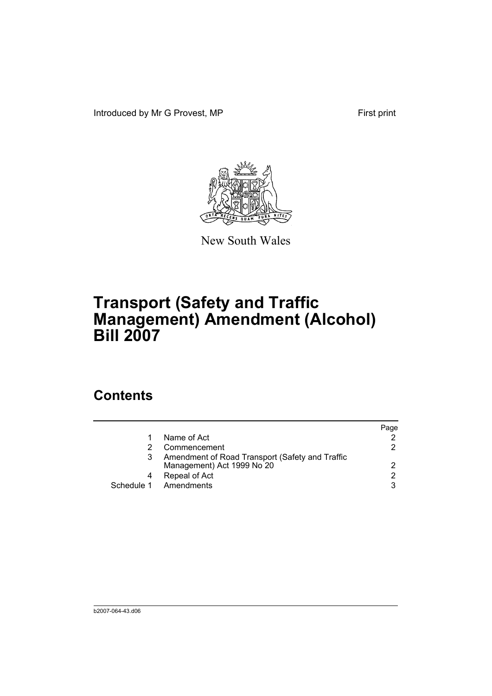Introduced by Mr G Provest, MP First print



New South Wales

# **Transport (Safety and Traffic Management) Amendment (Alcohol) Bill 2007**

## **Contents**

|                                                                               | Page          |
|-------------------------------------------------------------------------------|---------------|
| Name of Act                                                                   |               |
| Commencement                                                                  | 2.            |
| Amendment of Road Transport (Safety and Traffic<br>Management) Act 1999 No 20 | 2             |
| Repeal of Act                                                                 | $\mathcal{P}$ |
| Schedule 1 Amendments                                                         | 3             |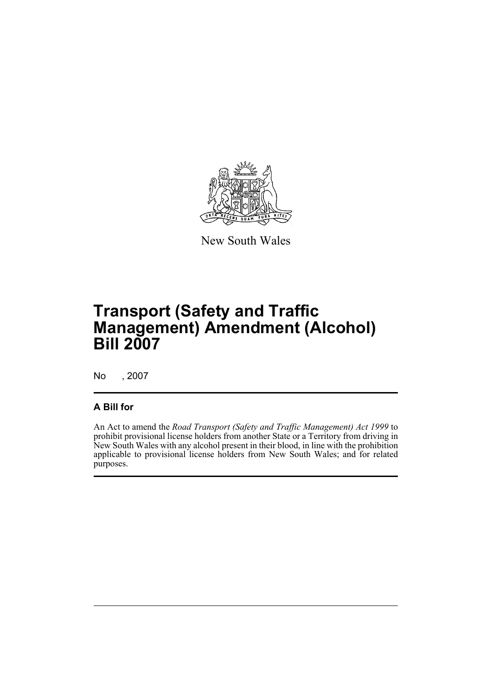

New South Wales

# **Transport (Safety and Traffic Management) Amendment (Alcohol) Bill 2007**

No , 2007

#### **A Bill for**

An Act to amend the *Road Transport (Safety and Traffic Management) Act 1999* to prohibit provisional license holders from another State or a Territory from driving in New South Wales with any alcohol present in their blood, in line with the prohibition applicable to provisional license holders from New South Wales; and for related purposes.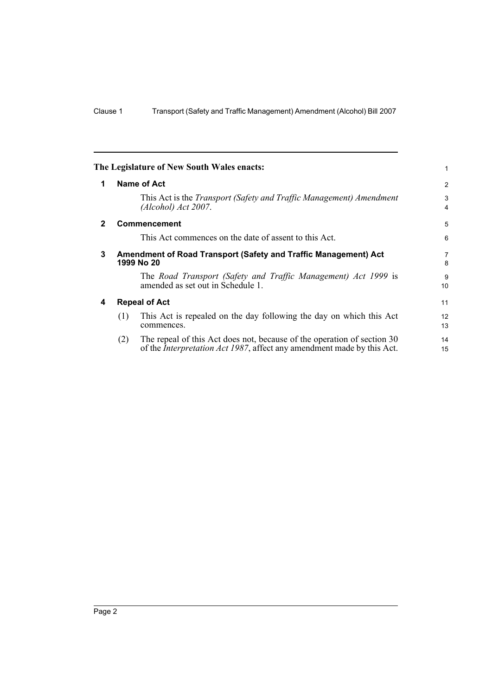<span id="page-5-3"></span><span id="page-5-2"></span><span id="page-5-1"></span><span id="page-5-0"></span>

|              | The Legislature of New South Wales enacts:                                                                                                                       | 1                    |  |
|--------------|------------------------------------------------------------------------------------------------------------------------------------------------------------------|----------------------|--|
| 1            | Name of Act                                                                                                                                                      | 2                    |  |
|              | This Act is the <i>Transport (Safety and Traffic Management) Amendment</i><br>(Alcohol) Act 2007.                                                                | 3<br>4               |  |
| $\mathbf{2}$ | <b>Commencement</b>                                                                                                                                              | 5                    |  |
|              | This Act commences on the date of assent to this Act.                                                                                                            | 6                    |  |
| 3            | Amendment of Road Transport (Safety and Traffic Management) Act<br>1999 No 20                                                                                    |                      |  |
|              | The Road Transport (Safety and Traffic Management) Act 1999 is<br>amended as set out in Schedule 1.                                                              | 9<br>10 <sup>1</sup> |  |
| 4            | <b>Repeal of Act</b>                                                                                                                                             | 11                   |  |
|              | (1)<br>This Act is repealed on the day following the day on which this Act<br>commences.                                                                         | 12<br>13             |  |
|              | The repeal of this Act does not, because of the operation of section 30<br>(2)<br>of the <i>Interpretation Act 1987</i> , affect any amendment made by this Act. | 14<br>15             |  |
|              |                                                                                                                                                                  |                      |  |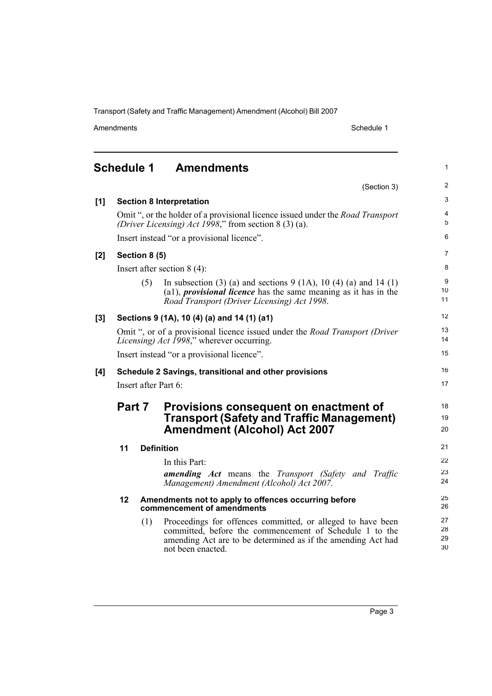Transport (Safety and Traffic Management) Amendment (Alcohol) Bill 2007

| Amendments |  |
|------------|--|
|            |  |

Schedule 1

1

16 17

18 19 20

## <span id="page-6-0"></span>**Schedule 1 Amendments** (Section 3) **[1] Section 8 Interpretation** Omit ", or the holder of a provisional licence issued under the *Road Transport (Driver Licensing) Act 1998*," from section 8 (3) (a). Insert instead "or a provisional licence". **[2] Section 8 (5)** Insert after section 8 (4): (5) In subsection (3) (a) and sections  $9(1A)$ ,  $10(4)$  (a) and  $14(1)$ (a1), *provisional licence* has the same meaning as it has in the *Road Transport (Driver Licensing) Act 1998*. **[3] Sections 9 (1A), 10 (4) (a) and 14 (1) (a1)** Omit ", or of a provisional licence issued under the *Road Transport (Driver Licensing) Act 1998*," wherever occurring. Insert instead "or a provisional licence". **[4] Schedule 2 Savings, transitional and other provisions** Insert after Part 6: **Part 7 Provisions consequent on enactment of Transport (Safety and Traffic Management) Amendment (Alcohol) Act 2007 11 Definition** In this Part: *amending Act* means the *Transport (Safety and Traffic Management) Amendment (Alcohol) Act 2007*. **12 Amendments not to apply to offences occurring before commencement of amendments**

(1) Proceedings for offences committed, or alleged to have been committed, before the commencement of Schedule 1 to the amending Act are to be determined as if the amending Act had not been enacted.